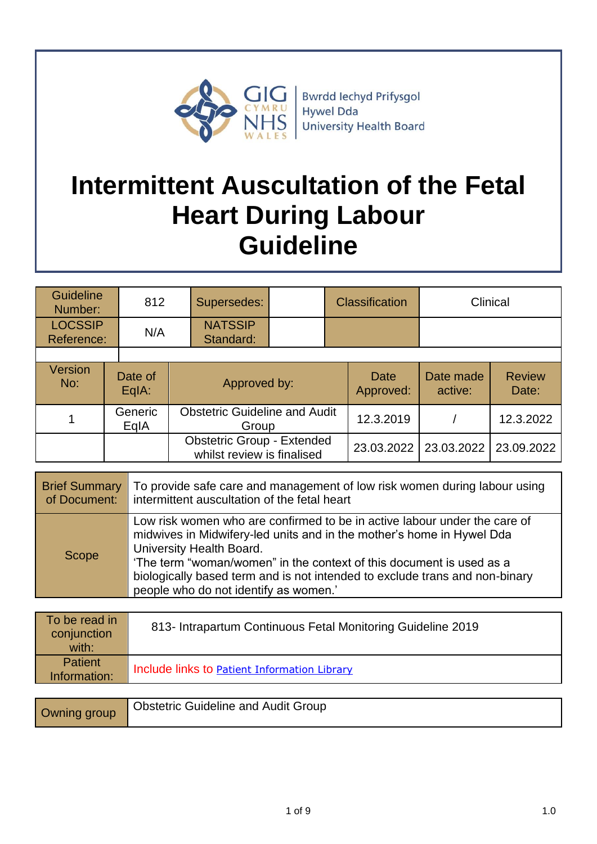

**Bwrdd lechyd Prifysgol** Hywel Dda **University Health Board** 

# **Intermittent Auscultation of the Fetal Heart During Labour Guideline**

| <b>Guideline</b><br>Number:  | 812              | Supersedes:                                                     |  |           | <b>Classification</b> |                      | Clinical               |
|------------------------------|------------------|-----------------------------------------------------------------|--|-----------|-----------------------|----------------------|------------------------|
| <b>LOCSSIP</b><br>Reference: | N/A              | <b>NATSSIP</b><br>Standard:                                     |  |           |                       |                      |                        |
|                              |                  |                                                                 |  |           |                       |                      |                        |
| <b>Version</b><br>No:        | Date of<br>EqIA: | Approved by:                                                    |  |           | Date<br>Approved:     | Date made<br>active: | <b>Review</b><br>Date: |
|                              | Generic<br>EqIA  | <b>Obstetric Guideline and Audit</b><br>Group                   |  | 12.3.2019 |                       | 12.3.2022            |                        |
|                              |                  | <b>Obstetric Group - Extended</b><br>whilst review is finalised |  |           | 23.03.2022            | 23.03.2022           | 23.09.2022             |

| <b>Brief Summary</b> | To provide safe care and management of low risk women during labour using                                                                                                                                                                                                                                                                                                      |
|----------------------|--------------------------------------------------------------------------------------------------------------------------------------------------------------------------------------------------------------------------------------------------------------------------------------------------------------------------------------------------------------------------------|
| of Document:         | intermittent auscultation of the fetal heart                                                                                                                                                                                                                                                                                                                                   |
| <b>Scope</b>         | Low risk women who are confirmed to be in active labour under the care of<br>midwives in Midwifery-led units and in the mother's home in Hywel Dda<br>University Health Board.<br>'The term "woman/women" in the context of this document is used as a<br>biologically based term and is not intended to exclude trans and non-binary<br>people who do not identify as women.' |

| To be read in<br>conjunction<br>with: | 813- Intrapartum Continuous Fetal Monitoring Guideline 2019 |
|---------------------------------------|-------------------------------------------------------------|
| <b>Patient</b><br>Information:        | Include links to <b>Patient Information Library</b>         |

| Owning group | <b>Obstetric Guideline and Audit Group</b> |
|--------------|--------------------------------------------|
|--------------|--------------------------------------------|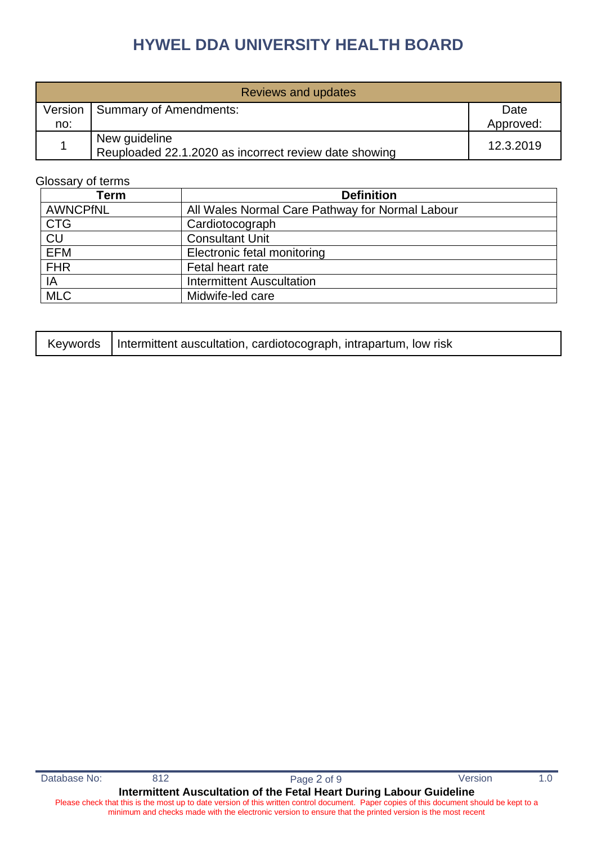| Reviews and updates |                                                                        |           |  |
|---------------------|------------------------------------------------------------------------|-----------|--|
| Version             | Summary of Amendments:                                                 | Date      |  |
| no:                 |                                                                        | Approved: |  |
|                     | New guideline<br>Reuploaded 22.1.2020 as incorrect review date showing | 12.3.2019 |  |

#### Glossary of terms

| <b>Term</b>     | <b>Definition</b>                               |
|-----------------|-------------------------------------------------|
| <b>AWNCPfNL</b> | All Wales Normal Care Pathway for Normal Labour |
| <b>CTG</b>      | Cardiotocograph                                 |
| <b>CU</b>       | <b>Consultant Unit</b>                          |
| <b>EFM</b>      | Electronic fetal monitoring                     |
| <b>FHR</b>      | Fetal heart rate                                |
| IA              | <b>Intermittent Auscultation</b>                |
| <b>MLC</b>      | Midwife-led care                                |

|  | Keywords   Intermittent auscultation, cardiotocograph, intrapartum, low risk |
|--|------------------------------------------------------------------------------|
|--|------------------------------------------------------------------------------|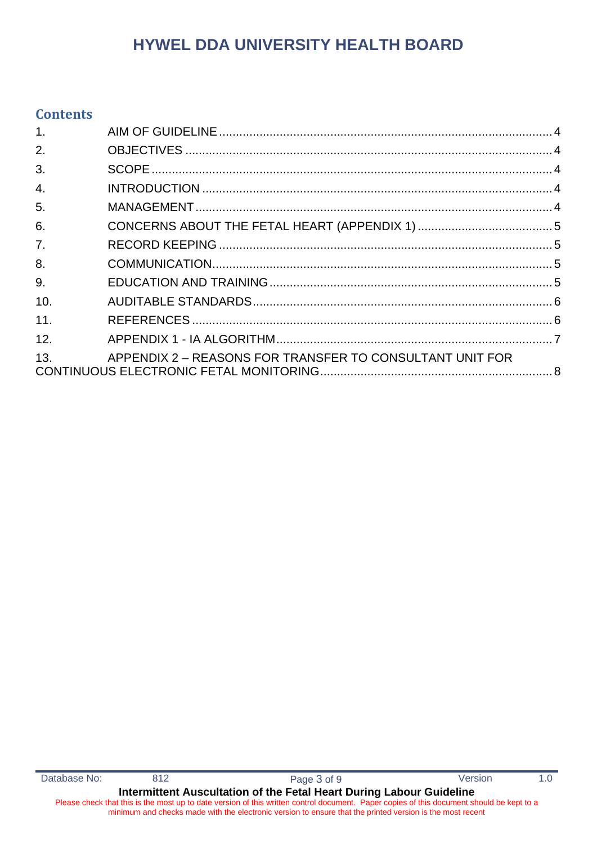### **Contents**

| 1 <sub>1</sub>   |                                                          |  |
|------------------|----------------------------------------------------------|--|
| 2.               |                                                          |  |
| 3.               |                                                          |  |
| $\overline{4}$ . |                                                          |  |
| 5.               |                                                          |  |
| 6.               |                                                          |  |
| 7 <sub>1</sub>   |                                                          |  |
| 8.               |                                                          |  |
| 9.               |                                                          |  |
| 10.              |                                                          |  |
| 11.              |                                                          |  |
| 12.              |                                                          |  |
| 13.              | APPENDIX 2 - REASONS FOR TRANSFER TO CONSULTANT UNIT FOR |  |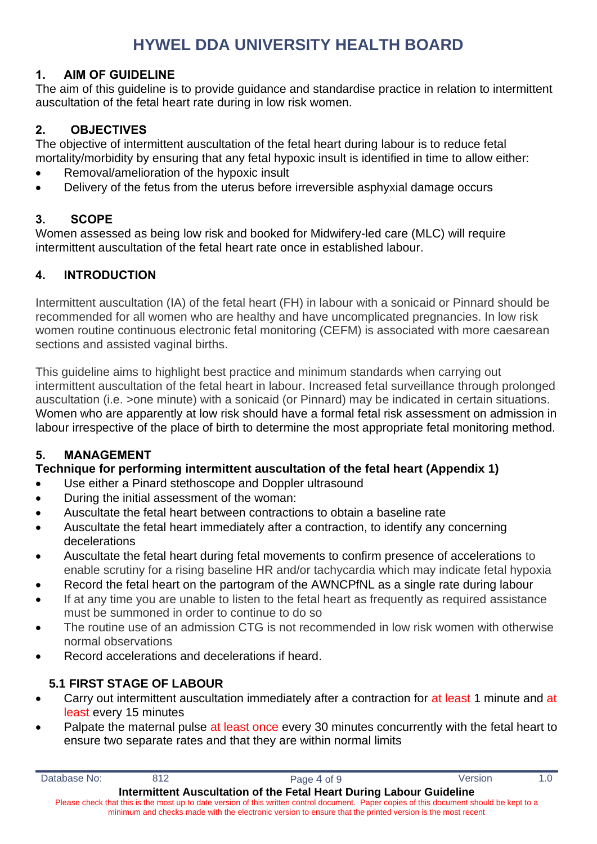# <span id="page-3-0"></span>**1. AIM OF GUIDELINE**

The aim of this guideline is to provide guidance and standardise practice in relation to intermittent auscultation of the fetal heart rate during in low risk women.

# <span id="page-3-1"></span>**2. OBJECTIVES**

The objective of intermittent auscultation of the fetal heart during labour is to reduce fetal mortality/morbidity by ensuring that any fetal hypoxic insult is identified in time to allow either:

- Removal/amelioration of the hypoxic insult
- Delivery of the fetus from the uterus before irreversible asphyxial damage occurs

# <span id="page-3-2"></span>**3. SCOPE**

Women assessed as being low risk and booked for Midwifery-led care (MLC) will require intermittent auscultation of the fetal heart rate once in established labour.

# <span id="page-3-3"></span>**4. INTRODUCTION**

Intermittent auscultation (IA) of the fetal heart (FH) in labour with a sonicaid or Pinnard should be recommended for all women who are healthy and have uncomplicated pregnancies. In low risk women routine continuous electronic fetal monitoring (CEFM) is associated with more caesarean sections and assisted vaginal births.

This guideline aims to highlight best practice and minimum standards when carrying out intermittent auscultation of the fetal heart in labour. Increased fetal surveillance through prolonged auscultation (i.e. >one minute) with a sonicaid (or Pinnard) may be indicated in certain situations. Women who are apparently at low risk should have a formal fetal risk assessment on admission in labour irrespective of the place of birth to determine the most appropriate fetal monitoring method.

### <span id="page-3-4"></span>**5. MANAGEMENT**

### **Technique for performing intermittent auscultation of the fetal heart (Appendix 1)**

- Use either a Pinard stethoscope and Doppler ultrasound
- During the initial assessment of the woman:
- Auscultate the fetal heart between contractions to obtain a baseline rate
- Auscultate the fetal heart immediately after a contraction, to identify any concerning decelerations
- Auscultate the fetal heart during fetal movements to confirm presence of accelerations to enable scrutiny for a rising baseline HR and/or tachycardia which may indicate fetal hypoxia
- Record the fetal heart on the partogram of the AWNCPfNL as a single rate during labour
- If at any time you are unable to listen to the fetal heart as frequently as required assistance must be summoned in order to continue to do so
- The routine use of an admission CTG is not recommended in low risk women with otherwise normal observations
- Record accelerations and decelerations if heard.

# **5.1 FIRST STAGE OF LABOUR**

- Carry out intermittent auscultation immediately after a contraction for at least 1 minute and at least every 15 minutes
- Palpate the maternal pulse at least once every 30 minutes concurrently with the fetal heart to ensure two separate rates and that they are within normal limits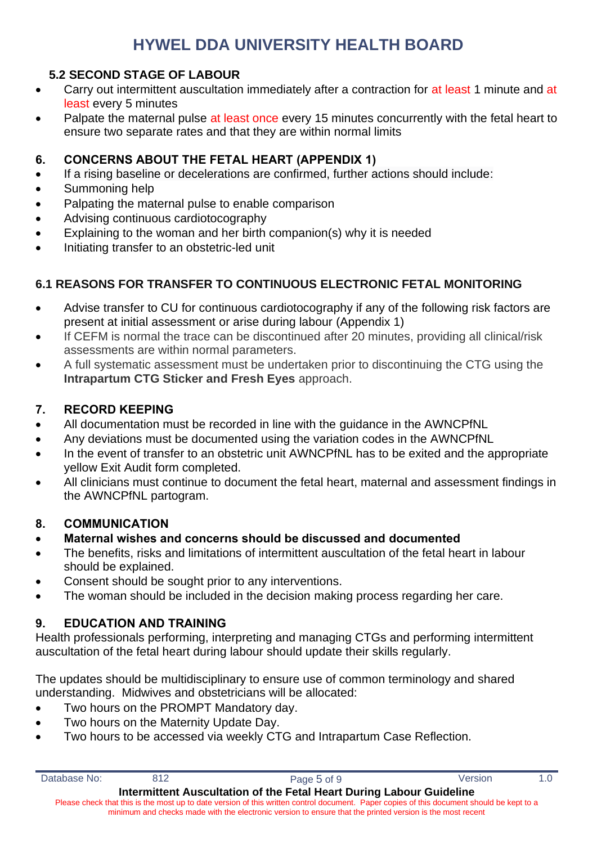### **5.2 SECOND STAGE OF LABOUR**

- Carry out intermittent auscultation immediately after a contraction for at least 1 minute and at least every 5 minutes
- Palpate the maternal pulse at least once every 15 minutes concurrently with the fetal heart to ensure two separate rates and that they are within normal limits

#### <span id="page-4-0"></span>**6. CONCERNS ABOUT THE FETAL HEART (APPENDIX 1)**

- If a rising baseline or decelerations are confirmed, further actions should include:
- Summoning help
- Palpating the maternal pulse to enable comparison
- Advising continuous cardiotocography
- Explaining to the woman and her birth companion(s) why it is needed
- Initiating transfer to an obstetric-led unit

# **6.1 REASONS FOR TRANSFER TO CONTINUOUS ELECTRONIC FETAL MONITORING**

- Advise transfer to CU for continuous cardiotocography if any of the following risk factors are present at initial assessment or arise during labour (Appendix 1)
- If CEFM is normal the trace can be discontinued after 20 minutes, providing all clinical/risk assessments are within normal parameters.
- A full systematic assessment must be undertaken prior to discontinuing the CTG using the **Intrapartum CTG Sticker and Fresh Eyes** approach.

### <span id="page-4-1"></span>**7. RECORD KEEPING**

- All documentation must be recorded in line with the guidance in the AWNCPfNL
- Any deviations must be documented using the variation codes in the AWNCPfNL
- In the event of transfer to an obstetric unit AWNCPfNL has to be exited and the appropriate yellow Exit Audit form completed.
- All clinicians must continue to document the fetal heart, maternal and assessment findings in the AWNCPfNL partogram.

#### <span id="page-4-2"></span>**8. COMMUNICATION**

### • **Maternal wishes and concerns should be discussed and documented**

- The benefits, risks and limitations of intermittent auscultation of the fetal heart in labour should be explained.
- Consent should be sought prior to any interventions.
- The woman should be included in the decision making process regarding her care.

### <span id="page-4-3"></span>**9. EDUCATION AND TRAINING**

Health professionals performing, interpreting and managing CTGs and performing intermittent auscultation of the fetal heart during labour should update their skills regularly.

The updates should be multidisciplinary to ensure use of common terminology and shared understanding. Midwives and obstetricians will be allocated:

- Two hours on the PROMPT Mandatory day.
- Two hours on the Maternity Update Day.
- Two hours to be accessed via weekly CTG and Intrapartum Case Reflection.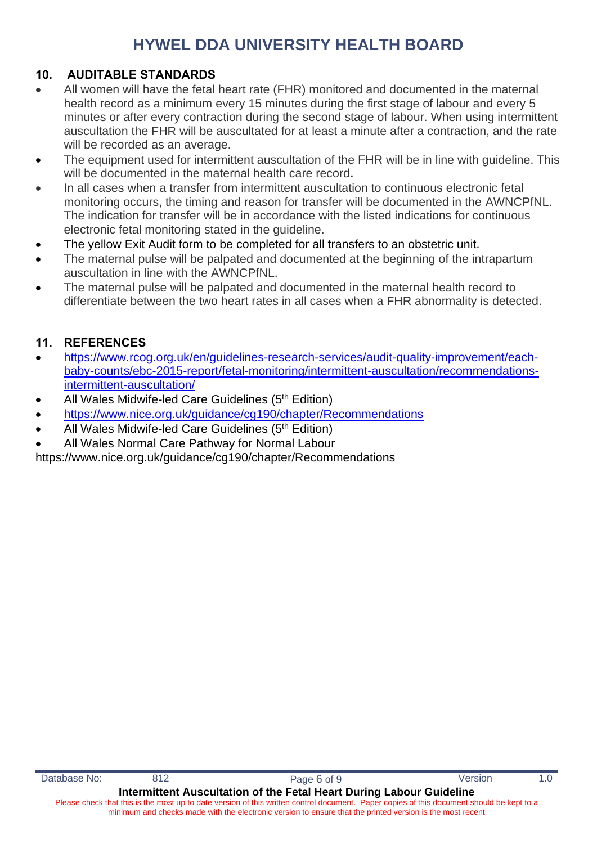# <span id="page-5-0"></span>**10. AUDITABLE STANDARDS**

- All women will have the fetal heart rate (FHR) monitored and documented in the maternal health record as a minimum every 15 minutes during the first stage of labour and every 5 minutes or after every contraction during the second stage of labour. When using intermittent auscultation the FHR will be auscultated for at least a minute after a contraction, and the rate will be recorded as an average.
- The equipment used for intermittent auscultation of the FHR will be in line with quideline. This will be documented in the maternal health care record**.**
- In all cases when a transfer from intermittent auscultation to continuous electronic fetal monitoring occurs, the timing and reason for transfer will be documented in the AWNCPfNL. The indication for transfer will be in accordance with the listed indications for continuous electronic fetal monitoring stated in the guideline.
- The vellow Exit Audit form to be completed for all transfers to an obstetric unit.
- The maternal pulse will be palpated and documented at the beginning of the intrapartum auscultation in line with the AWNCPfNL.
- The maternal pulse will be palpated and documented in the maternal health record to differentiate between the two heart rates in all cases when a FHR abnormality is detected.

### <span id="page-5-1"></span>**11. REFERENCES**

- [https://www.rcog.org.uk/en/guidelines-research-services/audit-quality-improvement/each](https://www.rcog.org.uk/en/guidelines-research-services/audit-quality-improvement/each-baby-counts/ebc-2015-report/fetal-monitoring/intermittent-auscultation/recommendations-intermittent-auscultation/)[baby-counts/ebc-2015-report/fetal-monitoring/intermittent-auscultation/recommendations](https://www.rcog.org.uk/en/guidelines-research-services/audit-quality-improvement/each-baby-counts/ebc-2015-report/fetal-monitoring/intermittent-auscultation/recommendations-intermittent-auscultation/)[intermittent-auscultation/](https://www.rcog.org.uk/en/guidelines-research-services/audit-quality-improvement/each-baby-counts/ebc-2015-report/fetal-monitoring/intermittent-auscultation/recommendations-intermittent-auscultation/)
- All Wales Midwife-led Care Guidelines (5<sup>th</sup> Edition)
- <https://www.nice.org.uk/guidance/cg190/chapter/Recommendations>
- All Wales Midwife-led Care Guidelines (5<sup>th</sup> Edition)
- All Wales Normal Care Pathway for Normal Labour

https://www.nice.org.uk/guidance/cg190/chapter/Recommendations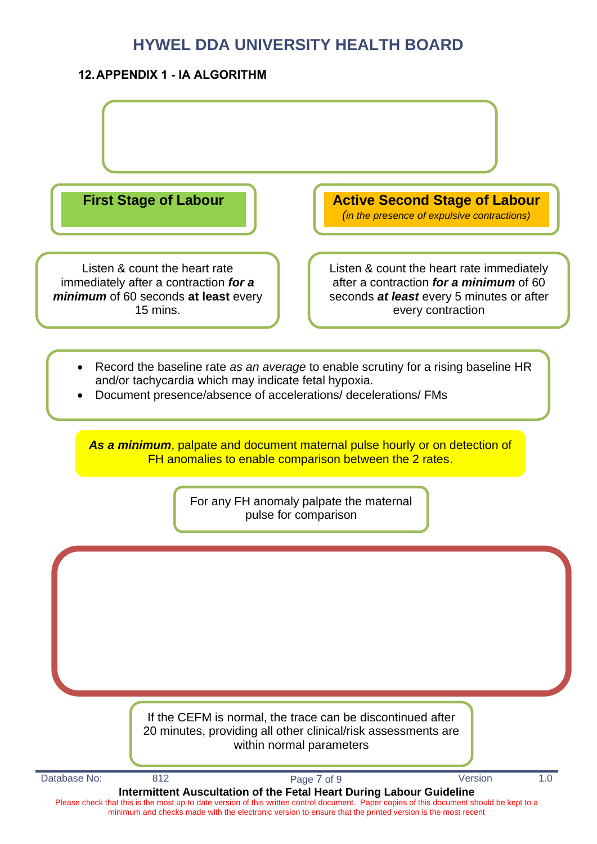### <span id="page-6-0"></span>**12.APPENDIX 1 - IA ALGORITHM**

Listen & count the heart rate immediately after a contraction *for a minimum* of 60 seconds **at least** every 15 mins.

**First Stage of Labour Active Second Stage of Labour** 

*(in the presence of expulsive contractions)*

Listen & count the heart rate immediately after a contraction *for a minimum* of 60 seconds *at least* every 5 minutes or after every contraction

- Record the baseline rate *as an average* to enable scrutiny for a rising baseline HR and/or tachycardia which may indicate fetal hypoxia.
- Document presence/absence of accelerations/ decelerations/ FMs

*As a minimum*, palpate and document maternal pulse hourly or on detection of FH anomalies to enable comparison between the 2 rates.

> For any FH anomaly palpate the maternal pulse for comparison

If the CEFM is normal, the trace can be discontinued after 20 minutes, providing all other clinical/risk assessments are within normal parameters

**Intermittent Auscultation of the Fetal Heart During Labour Guideline** Please check that this is the most up to date version of this written control document. Paper copies of this document should be kept to a minimum and checks made with the electronic version to ensure that the printed version is the most recent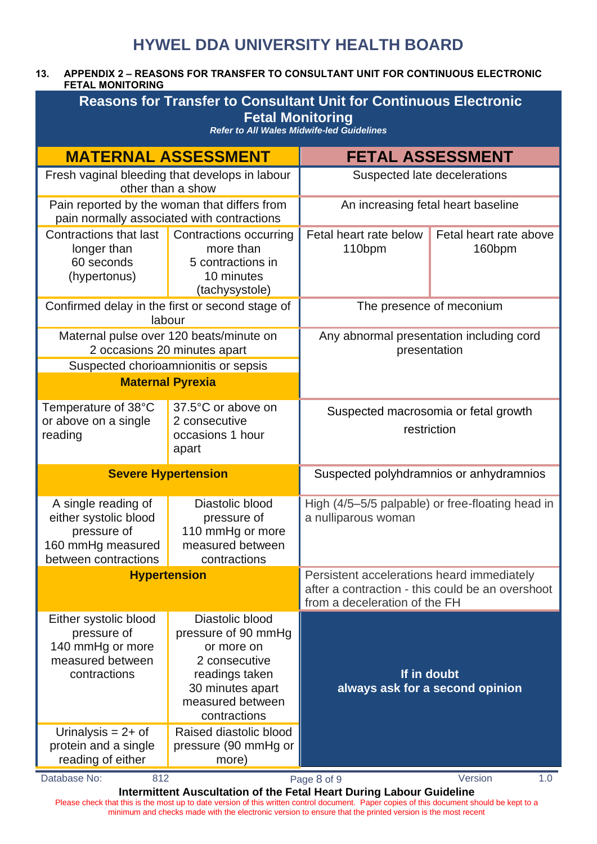#### <span id="page-7-0"></span>**13. APPENDIX 2 – REASONS FOR TRANSFER TO CONSULTANT UNIT FOR CONTINUOUS ELECTRONIC FETAL MONITORING**

| <b>Reasons for Transfer to Consultant Unit for Continuous Electronic</b><br><b>Fetal Monitoring</b><br><b>Refer to All Wales Midwife-led Guidelines</b> |                                                                                                                                                                           |                                                                                                                                 |                                                |  |  |
|---------------------------------------------------------------------------------------------------------------------------------------------------------|---------------------------------------------------------------------------------------------------------------------------------------------------------------------------|---------------------------------------------------------------------------------------------------------------------------------|------------------------------------------------|--|--|
|                                                                                                                                                         | <b>MATERNAL ASSESSMENT</b>                                                                                                                                                | <b>FETAL ASSESSMENT</b>                                                                                                         |                                                |  |  |
|                                                                                                                                                         | Fresh vaginal bleeding that develops in labour<br>other than a show                                                                                                       | Suspected late decelerations                                                                                                    |                                                |  |  |
|                                                                                                                                                         | Pain reported by the woman that differs from<br>pain normally associated with contractions                                                                                | An increasing fetal heart baseline                                                                                              |                                                |  |  |
| Contractions that last<br>longer than<br>60 seconds<br>(hypertonus)                                                                                     | Contractions occurring<br>more than<br>5 contractions in<br>10 minutes<br>(tachysystole)                                                                                  | Fetal heart rate below<br>110bpm                                                                                                | Fetal heart rate above<br>160 <sub>bpm</sub>   |  |  |
|                                                                                                                                                         | Confirmed delay in the first or second stage of<br>labour                                                                                                                 | The presence of meconium                                                                                                        |                                                |  |  |
|                                                                                                                                                         | Maternal pulse over 120 beats/minute on<br>2 occasions 20 minutes apart                                                                                                   | Any abnormal presentation including cord<br>presentation                                                                        |                                                |  |  |
|                                                                                                                                                         | Suspected chorioamnionitis or sepsis<br><b>Maternal Pyrexia</b>                                                                                                           |                                                                                                                                 |                                                |  |  |
| Temperature of 38°C<br>or above on a single<br>reading                                                                                                  | 37.5°C or above on<br>2 consecutive<br>occasions 1 hour<br>apart                                                                                                          | Suspected macrosomia or fetal growth<br>restriction                                                                             |                                                |  |  |
|                                                                                                                                                         | <b>Severe Hypertension</b>                                                                                                                                                | Suspected polyhdramnios or anhydramnios                                                                                         |                                                |  |  |
| A single reading of<br>either systolic blood<br>pressure of<br>160 mmHg measured<br>between contractions                                                | Diastolic blood<br>pressure of<br>110 mmHg or more<br>measured between<br>contractions                                                                                    | High (4/5-5/5 palpable) or free-floating head in<br>a nulliparous woman                                                         |                                                |  |  |
|                                                                                                                                                         | <b>Hypertension</b>                                                                                                                                                       | Persistent accelerations heard immediately<br>after a contraction - this could be an overshoot<br>from a deceleration of the FH |                                                |  |  |
| Either systolic blood<br>pressure of<br>140 mmHg or more<br>measured between<br>contractions<br>Urinalysis = $2+$ of                                    | Diastolic blood<br>pressure of 90 mmHg<br>or more on<br>2 consecutive<br>readings taken<br>30 minutes apart<br>measured between<br>contractions<br>Raised diastolic blood |                                                                                                                                 | If in doubt<br>always ask for a second opinion |  |  |
| protein and a single<br>reading of either                                                                                                               | pressure (90 mmHg or<br>more)                                                                                                                                             |                                                                                                                                 |                                                |  |  |
| Database No:<br>812<br>Version<br>1.0<br>Page 8 of 9<br>Intermittent Auscultation of the Fetal Heart During Labour Guideline                            |                                                                                                                                                                           |                                                                                                                                 |                                                |  |  |

Please check that this is the most up to date version of this written control document. Paper copies of this document should be kept to a minimum and checks made with the electronic version to ensure that the printed version is the most recent